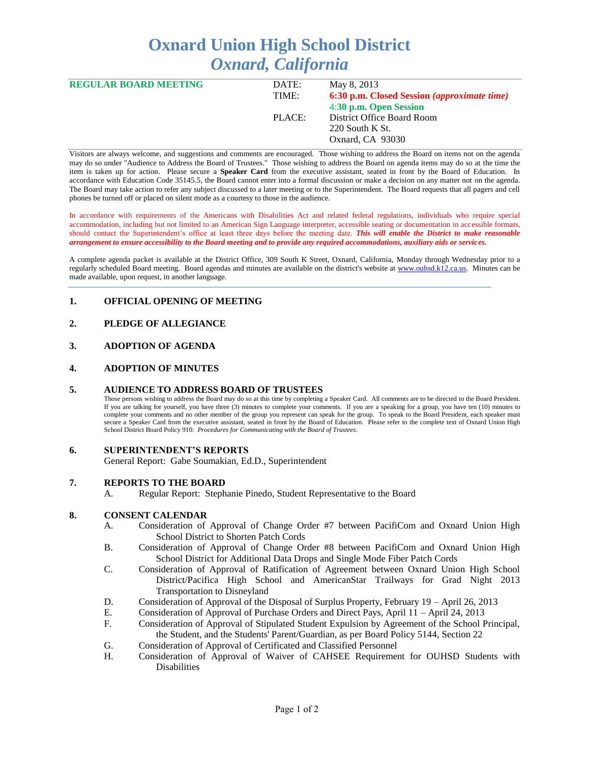# **Oxnard Union High School District** *Oxnard, California*

| <b>REGULAR BOARD MEETING</b> | DATE:  | May 8, 2013                                        |
|------------------------------|--------|----------------------------------------------------|
|                              | TIME:  | 6:30 p.m. Closed Session <i>(approximate time)</i> |
|                              |        | 4:30 p.m. Open Session                             |
|                              | PLACE: | District Office Board Room                         |
|                              |        | $220$ South K St.                                  |
|                              |        | Oxnard, CA 93030                                   |
|                              |        |                                                    |

Visitors are always welcome, and suggestions and comments are encouraged. Those wishing to address the Board on items not on the agenda may do so under "Audience to Address the Board of Trustees." Those wishing to address the Board on agenda items may do so at the time the item is taken up for action. Please secure a **Speaker Card** from the executive assistant, seated in front by the Board of Education. In accordance with Education Code 35145.5, the Board cannot enter into a formal discussion or make a decision on any matter not on the agenda. The Board may take action to refer any subject discussed to a later meeting or to the Superintendent. The Board requests that all pagers and cell phones be turned off or placed on silent mode as a courtesy to those in the audience.

In accordance with requirements of the Americans with Disabilities Act and related federal regulations, individuals who require special accommodation, including but not limited to an American Sign Language interpreter, accessible seating or documentation in accessible formats, should contact the Superintendent's office at least three days before the meeting date. *This will enable the District to make reasonable arrangement to ensure accessibility to the Board meeting and to provide any required accommodations, auxiliary aids or services.* 

A complete agenda packet is available at the District Office, 309 South K Street, Oxnard, California, Monday through Wednesday prior to a regularly scheduled Board meeting. Board agendas and minutes are available on the district's website at [www.ouhsd.k12.ca.us.](http://www.ouhsd.k12.ca.us/)Minutes can be made available, upon request, in another language.

# **1. OFFICIAL OPENING OF MEETING**

# **2. PLEDGE OF ALLEGIANCE**

# **3. ADOPTION OF AGENDA**

## **4. ADOPTION OF MINUTES**

#### **5. AUDIENCE TO ADDRESS BOARD OF TRUSTEES**

Those persons wishing to address the Board may do so at this time by completing a Speaker Card. All comments are to be directed to the Board President. If you are talking for yourself, you have three (3) minutes to complete your comments. If you are a speaking for a group, you have ten (10) minutes to complete your comments and no other member of the group you represent can speak for the group. To speak to the Board President, each speaker must secure a Speaker Card from the executive assistant, seated in front by the Board of Education. Please refer to the complete text of Oxnard Union High School District Board Policy 910: *Procedures for Communicating with the Board of Trustees.*

#### **6. SUPERINTENDENT'S REPORTS**

General Report: Gabe Soumakian, Ed.D., Superintendent

#### **7. REPORTS TO THE BOARD**

A. Regular Report: Stephanie Pinedo, Student Representative to the Board

#### **8. CONSENT CALENDAR**

- A. Consideration of Approval of Change Order #7 between PacifiCom and Oxnard Union High School District to Shorten Patch Cords
- B. Consideration of Approval of Change Order #8 between PacifiCom and Oxnard Union High School District for Additional Data Drops and Single Mode Fiber Patch Cords
- C. Consideration of Approval of Ratification of Agreement between Oxnard Union High School District/Pacifica High School and AmericanStar Trailways for Grad Night 2013 Transportation to Disneyland
- D. Consideration of Approval of the Disposal of Surplus Property, February 19 April 26, 2013
- E. Consideration of Approval of Purchase Orders and Direct Pays, April 11 April 24, 2013
- F. Consideration of Approval of Stipulated Student Expulsion by Agreement of the School Principal, the Student, and the Students' Parent/Guardian, as per Board Policy 5144, Section 22
- G. Consideration of Approval of Certificated and Classified Personnel
- H. Consideration of Approval of Waiver of CAHSEE Requirement for OUHSD Students with Disabilities